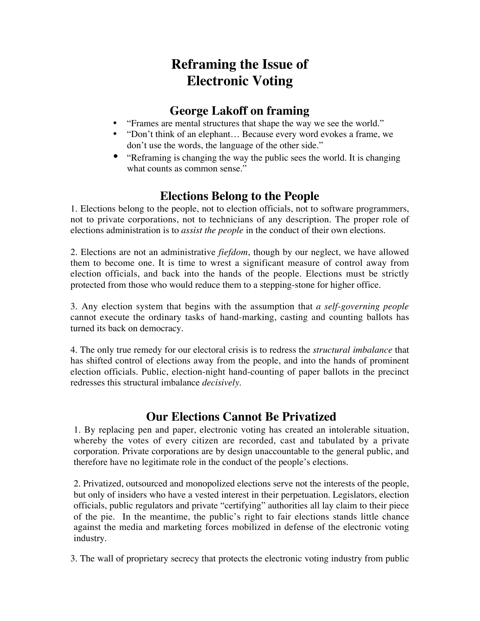# **Reframing the Issue of Electronic Voting**

#### **George Lakoff on framing**

- "Frames are mental structures that shape the way we see the world."
- "Don't think of an elephant... Because every word evokes a frame, we don't use the words, the language of the other side."
- "Reframing is changing the way the public sees the world. It is changing what counts as common sense."

### **Elections Belong to the People**

1. Elections belong to the people, not to election officials, not to software programmers, not to private corporations, not to technicians of any description. The proper role of elections administration is to *assist the people* in the conduct of their own elections.

2. Elections are not an administrative *fiefdom*, though by our neglect, we have allowed them to become one. It is time to wrest a significant measure of control away from election officials, and back into the hands of the people. Elections must be strictly protected from those who would reduce them to a stepping-stone for higher office.

3. Any election system that begins with the assumption that *a self-governing people* cannot execute the ordinary tasks of hand-marking, casting and counting ballots has turned its back on democracy.

4. The only true remedy for our electoral crisis is to redress the *structural imbalance* that has shifted control of elections away from the people, and into the hands of prominent election officials. Public, election-night hand-counting of paper ballots in the precinct redresses this structural imbalance *decisively*.

### **Our Elections Cannot Be Privatized**

1. By replacing pen and paper, electronic voting has created an intolerable situation, whereby the votes of every citizen are recorded, cast and tabulated by a private corporation. Private corporations are by design unaccountable to the general public, and therefore have no legitimate role in the conduct of the people's elections.

2. Privatized, outsourced and monopolized elections serve not the interests of the people, but only of insiders who have a vested interest in their perpetuation. Legislators, election officials, public regulators and private "certifying" authorities all lay claim to their piece of the pie. In the meantime, the public's right to fair elections stands little chance against the media and marketing forces mobilized in defense of the electronic voting industry.

3. The wall of proprietary secrecy that protects the electronic voting industry from public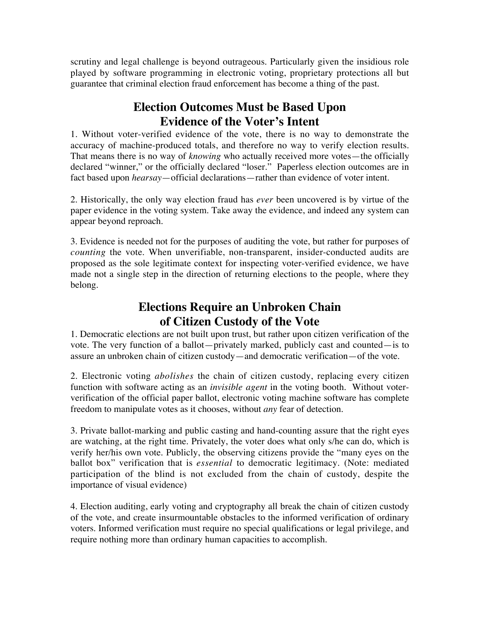scrutiny and legal challenge is beyond outrageous. Particularly given the insidious role played by software programming in electronic voting, proprietary protections all but guarantee that criminal election fraud enforcement has become a thing of the past.

# **Election Outcomes Must be Based Upon Evidence of the Voter's Intent**

1. Without voter-verified evidence of the vote, there is no way to demonstrate the accuracy of machine-produced totals, and therefore no way to verify election results. That means there is no way of *knowing* who actually received more votes—the officially declared "winner," or the officially declared "loser." Paperless election outcomes are in fact based upon *hearsay*—official declarations—rather than evidence of voter intent.

2. Historically, the only way election fraud has *ever* been uncovered is by virtue of the paper evidence in the voting system. Take away the evidence, and indeed any system can appear beyond reproach.

3. Evidence is needed not for the purposes of auditing the vote, but rather for purposes of *counting* the vote. When unverifiable, non-transparent, insider-conducted audits are proposed as the sole legitimate context for inspecting voter-verified evidence, we have made not a single step in the direction of returning elections to the people, where they belong.

# **Elections Require an Unbroken Chain of Citizen Custody of the Vote**

1. Democratic elections are not built upon trust, but rather upon citizen verification of the vote. The very function of a ballot—privately marked, publicly cast and counted—is to assure an unbroken chain of citizen custody—and democratic verification—of the vote.

2. Electronic voting *abolishes* the chain of citizen custody, replacing every citizen function with software acting as an *invisible agent* in the voting booth. Without voterverification of the official paper ballot, electronic voting machine software has complete freedom to manipulate votes as it chooses, without *any* fear of detection.

3. Private ballot-marking and public casting and hand-counting assure that the right eyes are watching, at the right time. Privately, the voter does what only s/he can do, which is verify her/his own vote. Publicly, the observing citizens provide the "many eyes on the ballot box" verification that is *essential* to democratic legitimacy. (Note: mediated participation of the blind is not excluded from the chain of custody, despite the importance of visual evidence)

4. Election auditing, early voting and cryptography all break the chain of citizen custody of the vote, and create insurmountable obstacles to the informed verification of ordinary voters. Informed verification must require no special qualifications or legal privilege, and require nothing more than ordinary human capacities to accomplish.